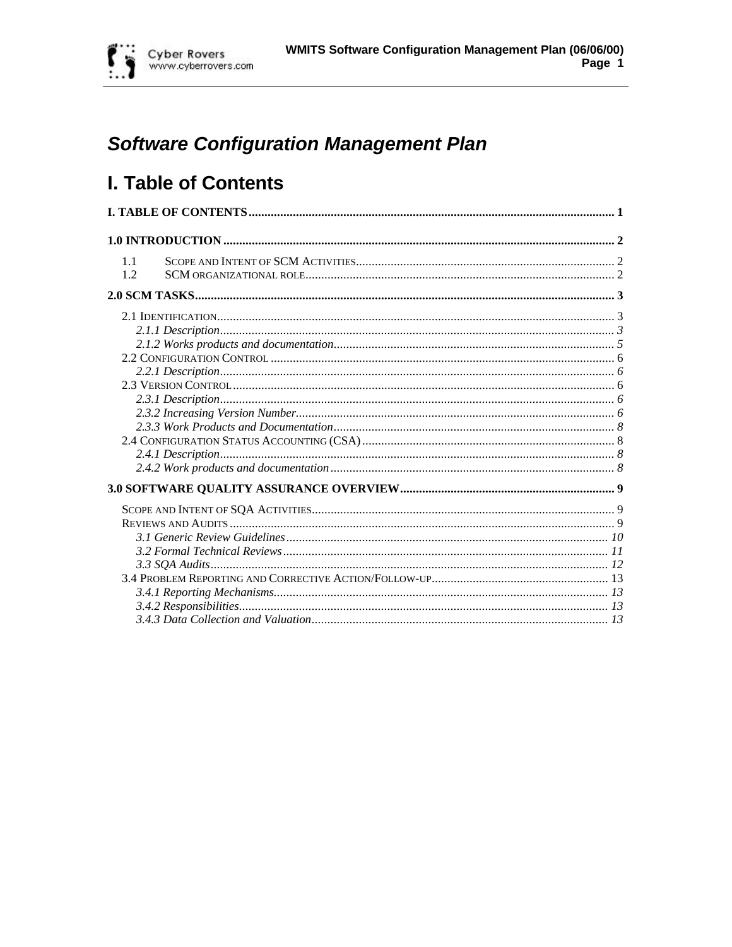

# **Software Configuration Management Plan**

# I. Table of Contents

| 1.1<br>1.2 |  |
|------------|--|
|            |  |
|            |  |
|            |  |
|            |  |
|            |  |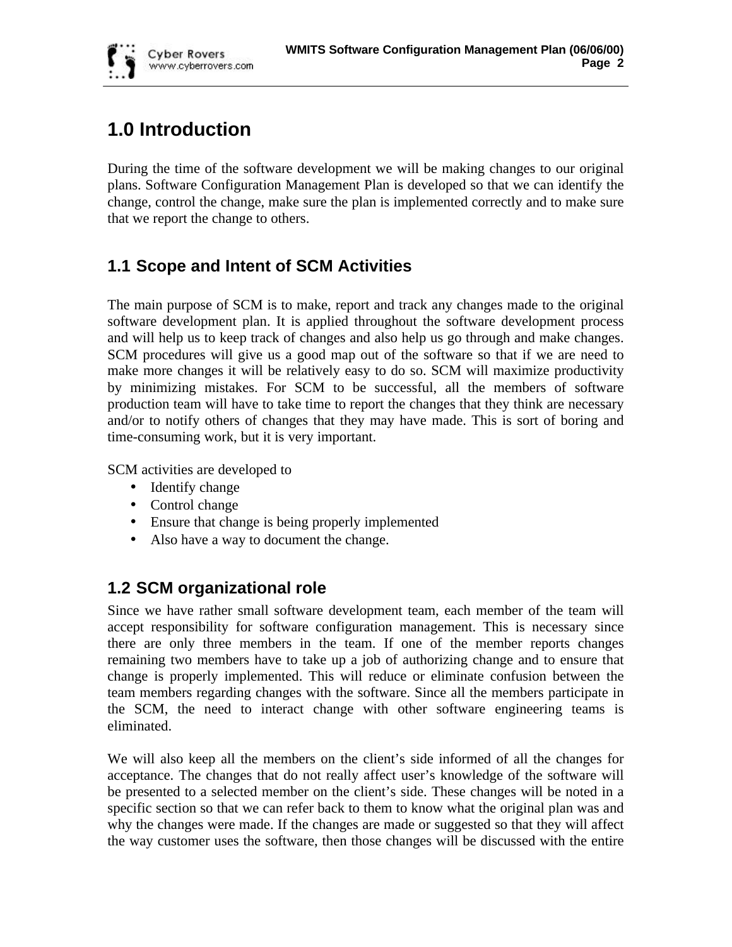# **1.0 Introduction**

**Cyber Rovers** www.cyberrovers.com

During the time of the software development we will be making changes to our original plans. Software Configuration Management Plan is developed so that we can identify the change, control the change, make sure the plan is implemented correctly and to make sure that we report the change to others.

## **1.1 Scope and Intent of SCM Activities**

The main purpose of SCM is to make, report and track any changes made to the original software development plan. It is applied throughout the software development process and will help us to keep track of changes and also help us go through and make changes. SCM procedures will give us a good map out of the software so that if we are need to make more changes it will be relatively easy to do so. SCM will maximize productivity by minimizing mistakes. For SCM to be successful, all the members of software production team will have to take time to report the changes that they think are necessary and/or to notify others of changes that they may have made. This is sort of boring and time-consuming work, but it is very important.

SCM activities are developed to

- Identify change
- Control change
- Ensure that change is being properly implemented
- Also have a way to document the change.

## **1.2 SCM organizational role**

Since we have rather small software development team, each member of the team will accept responsibility for software configuration management. This is necessary since there are only three members in the team. If one of the member reports changes remaining two members have to take up a job of authorizing change and to ensure that change is properly implemented. This will reduce or eliminate confusion between the team members regarding changes with the software. Since all the members participate in the SCM, the need to interact change with other software engineering teams is eliminated.

We will also keep all the members on the client's side informed of all the changes for acceptance. The changes that do not really affect user's knowledge of the software will be presented to a selected member on the client's side. These changes will be noted in a specific section so that we can refer back to them to know what the original plan was and why the changes were made. If the changes are made or suggested so that they will affect the way customer uses the software, then those changes will be discussed with the entire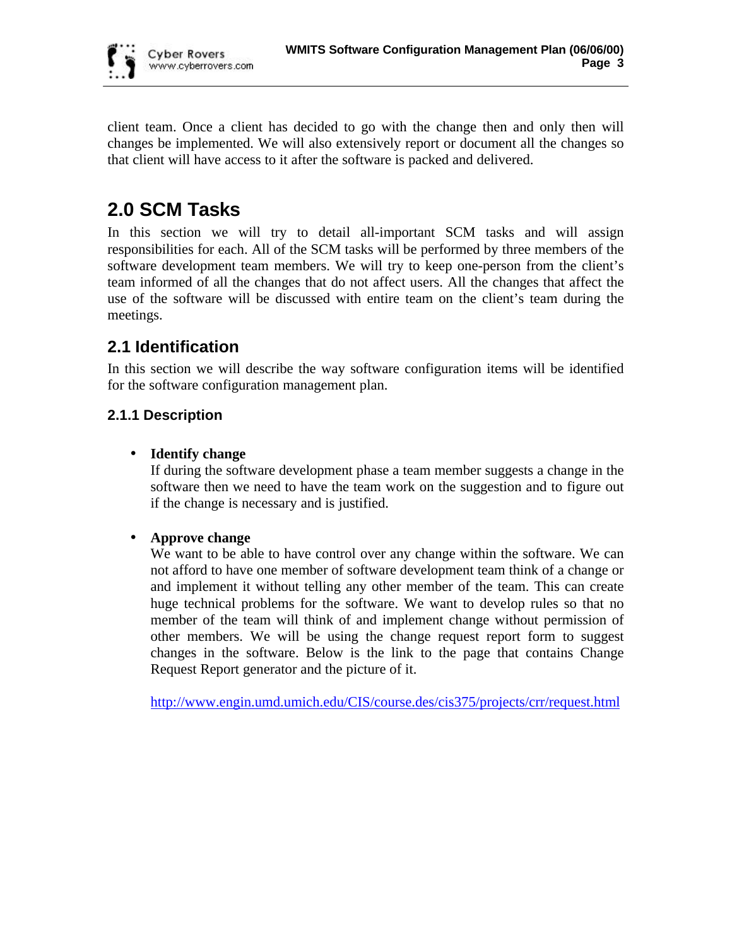

client team. Once a client has decided to go with the change then and only then will changes be implemented. We will also extensively report or document all the changes so that client will have access to it after the software is packed and delivered.

## **2.0 SCM Tasks**

In this section we will try to detail all-important SCM tasks and will assign responsibilities for each. All of the SCM tasks will be performed by three members of the software development team members. We will try to keep one-person from the client's team informed of all the changes that do not affect users. All the changes that affect the use of the software will be discussed with entire team on the client's team during the meetings.

## **2.1 Identification**

In this section we will describe the way software configuration items will be identified for the software configuration management plan.

## **2.1.1 Description**

## • **Identify change**

If during the software development phase a team member suggests a change in the software then we need to have the team work on the suggestion and to figure out if the change is necessary and is justified.

## • **Approve change**

We want to be able to have control over any change within the software. We can not afford to have one member of software development team think of a change or and implement it without telling any other member of the team. This can create huge technical problems for the software. We want to develop rules so that no member of the team will think of and implement change without permission of other members. We will be using the change request report form to suggest changes in the software. Below is the link to the page that contains Change Request Report generator and the picture of it.

http://www.engin.umd.umich.edu/CIS/course.des/cis375/projects/crr/request.html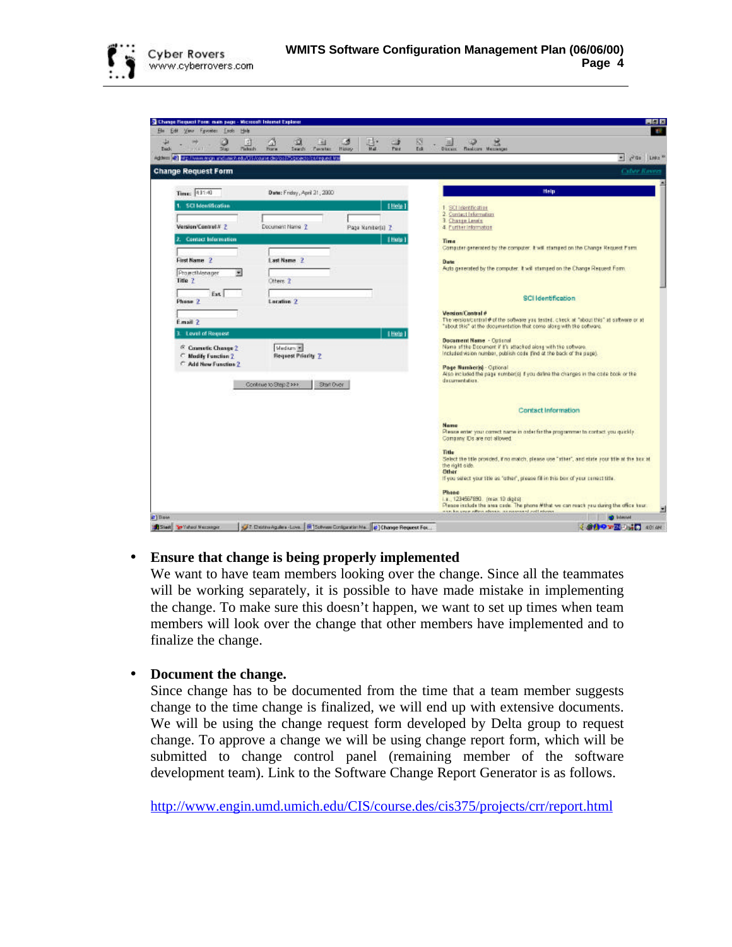

| <sup>5</sup> Chinge Flequest Form main page - Microsoft Internet Explorer          |                                          |                                                                            |                      |      | 用面図                                                                                                                                                                |
|------------------------------------------------------------------------------------|------------------------------------------|----------------------------------------------------------------------------|----------------------|------|--------------------------------------------------------------------------------------------------------------------------------------------------------------------|
| Ele Edit View Fyvoster Ends Hele                                                   | i d'I                                    | ø<br>a.<br>×                                                               | 25<br>₩              | к    | <b>ASP</b><br>×                                                                                                                                                    |
| 5130<br><b>Kid</b>                                                                 | $\frac{\Delta}{\text{base}}$<br>Pickwitz | Seath<br><b>Payates</b><br>History                                         | <b>Hall</b><br>Pirt. | Edi- | <b>DECAIL</b><br><b>Finalcore</b> Messinger                                                                                                                        |
| Address (2) ap //www.ergs and inichedului ficouse device hospogetisticategued that |                                          |                                                                            |                      |      | $=$ $20x$ Lrés <sup>30</sup><br><b>Cyber Rayers</b>                                                                                                                |
| <b>Change Request Form</b>                                                         |                                          |                                                                            |                      |      |                                                                                                                                                                    |
| Time: 411:40                                                                       |                                          | Date: Friday, April 21, 2300                                               |                      |      | Help                                                                                                                                                               |
| <b>SCI Identification</b>                                                          |                                          |                                                                            | [Help]               |      | SCI Identification                                                                                                                                                 |
| Version/Control # ?                                                                | Document Name ?                          |                                                                            | Page Namber(a) 2     |      | 2. Contact Information<br>3. Chasse Levels<br>4. Purther Information                                                                                               |
| Contact Information                                                                |                                          |                                                                            | 1 Hotel              |      | Time                                                                                                                                                               |
|                                                                                    |                                          |                                                                            |                      |      | Computer generated by the computer. It will stamped on the Change Request Farm.                                                                                    |
| First Name 2                                                                       | Last Name 2                              |                                                                            |                      |      | Date<br>Auto generated by the computer. It will stamped on the Change Request Form.                                                                                |
| ProjectMenager<br>Title ?                                                          | Otters 2                                 |                                                                            |                      |      |                                                                                                                                                                    |
| Ext.<br>Phone 2                                                                    | Lacation 2                               |                                                                            |                      |      | <b>SCI</b> Identification                                                                                                                                          |
|                                                                                    |                                          |                                                                            |                      |      | <b>Vension/Control #</b>                                                                                                                                           |
| Email ?                                                                            |                                          |                                                                            |                      |      | The version/curricul @ of the software you tested, check at "about this" at software or at<br>"about this" at the documentation that come along with the coffeare. |
| Level of Reguest                                                                   |                                          |                                                                            | [ Help]              |      | Decement Name - Cuteral                                                                                                                                            |
| <sup>(5</sup> Counctic Change 2)<br>C Modify Function 2                            | Medium <sup>1</sup>                      | Request Printity 2                                                         |                      |      | Name of the Decument if it's attacked along with the software.<br>Included vision number, publish code (ind at the back of the page).                              |
| C Add New Function 2                                                               |                                          |                                                                            |                      |      | Page Numberlsi - Optional                                                                                                                                          |
|                                                                                    | Continue to Step 2 >>>                   | Start Over                                                                 |                      |      | Also included the page sumber(s) if you dating the changes in the code book or the<br>dacumentation.                                                               |
|                                                                                    |                                          |                                                                            |                      |      | <b>Contact Information</b>                                                                                                                                         |
|                                                                                    |                                          |                                                                            |                      |      | Name<br>Please enter your correct name in order for the programmer to contact you quickly.<br>Comanny Ds are not allowed.                                          |
|                                                                                    |                                          |                                                                            |                      |      | Title<br>Select the title provided, if no match, please use "viher", and state your title at the box at<br>the right side.<br>Other                                |
|                                                                                    |                                          |                                                                            |                      |      | If you select your title as "other", please fill in this box of your conect title.                                                                                 |
|                                                                                    |                                          |                                                                            |                      |      | Phone<br>i.a., 1234567890. (max. 10 digita)                                                                                                                        |
|                                                                                    |                                          |                                                                            |                      |      | Please include the area cade. The phone #that we can reach you during the office hour.<br>ann ka avan affen efennis, in marenned coll eferrer                      |
| Stait Sy Yahod Massager                                                            |                                          | [7] Districtgules Love. (N] Solvies Conige stim Ma. (2) Change Request For |                      |      | <b>NO</b> Internet<br><b>COMPAZING</b> COLOR                                                                                                                       |

### • **Ensure that change is being properly implemented**

We want to have team members looking over the change. Since all the teammates will be working separately, it is possible to have made mistake in implementing the change. To make sure this doesn't happen, we want to set up times when team members will look over the change that other members have implemented and to finalize the change.

• **Document the change.**

Since change has to be documented from the time that a team member suggests change to the time change is finalized, we will end up with extensive documents. We will be using the change request form developed by Delta group to request change. To approve a change we will be using change report form, which will be submitted to change control panel (remaining member of the software development team). Link to the Software Change Report Generator is as follows.

http://www.engin.umd.umich.edu/CIS/course.des/cis375/projects/crr/report.html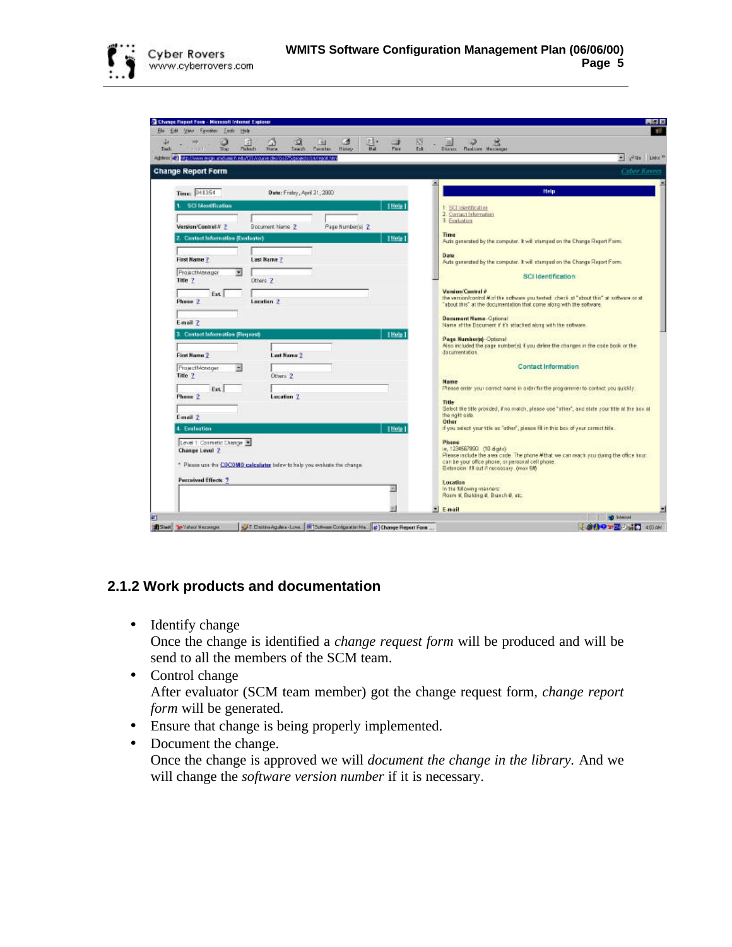

|                           | Change Report Form - Hicrocolt Internet Explorer |                                                                                    |                                                                           |                        |      |                                                                          |                                                                                                                                             |                              |
|---------------------------|--------------------------------------------------|------------------------------------------------------------------------------------|---------------------------------------------------------------------------|------------------------|------|--------------------------------------------------------------------------|---------------------------------------------------------------------------------------------------------------------------------------------|------------------------------|
| Edit                      | View Fyvorier Leolo Hele<br>Ø.                   | ø                                                                                  | ш<br>×.                                                                   | EP:<br>⇨               | 89   |                                                                          | ×                                                                                                                                           |                              |
|                           | Picksch.<br>5000                                 | Ш<br>Swady.<br>Hora                                                                | <b>Tavataz</b><br>Highany                                                 | $\overline{M}$<br>Park | Edi- | <b>DECAIL</b>                                                            | <b>Haakcow</b> Merriescan                                                                                                                   |                              |
|                           |                                                  | Address (2) http://www.engrundunich.edu/US/course.de/ob3/b/projects/ca/report.html |                                                                           |                        |      |                                                                          |                                                                                                                                             | $=$ $20x$ Lrés <sup>30</sup> |
| <b>Change Report Form</b> |                                                  |                                                                                    |                                                                           |                        |      |                                                                          |                                                                                                                                             | <b>Cyber Rayers</b>          |
| Time: 041354              |                                                  | Date: Friday, April 21, 2300                                                       |                                                                           |                        |      | Ξ                                                                        | Help                                                                                                                                        |                              |
| <b>SCI Mentification</b>  |                                                  |                                                                                    |                                                                           | Hole                   |      |                                                                          | 1. SCI Identification                                                                                                                       |                              |
|                           |                                                  |                                                                                    |                                                                           |                        |      | 3. Evaluation                                                            | 2. Contact Information                                                                                                                      |                              |
| Version/Control # 2       |                                                  | Document Name 2                                                                    | Page Number(s) 2                                                          |                        |      |                                                                          |                                                                                                                                             |                              |
|                           | 2. Contact Information (Evoluator)               |                                                                                    |                                                                           | [Hole]                 |      | Time                                                                     | Auto generated by the computer. It will stamped on the Change Report Form.                                                                  |                              |
|                           |                                                  |                                                                                    |                                                                           |                        |      |                                                                          |                                                                                                                                             |                              |
| First Name ?              |                                                  | <b>Last Name 7</b>                                                                 |                                                                           |                        |      | Date                                                                     | Auto generated by the computer. It will stamped on the Change Report Form.                                                                  |                              |
| ProjectMonager            | ٠                                                |                                                                                    |                                                                           |                        |      |                                                                          | <b>SCI Identification</b>                                                                                                                   |                              |
| Title ?                   |                                                  | Dthers 2                                                                           |                                                                           |                        |      |                                                                          |                                                                                                                                             |                              |
|                           | Ext.                                             |                                                                                    |                                                                           |                        |      |                                                                          | Version/Control #<br>the version/control # of the software you tested, check at "about this" at software or at                              |                              |
| Phone 2                   |                                                  | Location 2                                                                         |                                                                           |                        |      |                                                                          | "about this" at the documentation that come along with the software.                                                                        |                              |
|                           |                                                  |                                                                                    |                                                                           |                        |      |                                                                          | <b>Decument Name-Optional</b>                                                                                                               |                              |
| E-mail 7                  |                                                  |                                                                                    |                                                                           |                        |      |                                                                          | Name of the Document if this strached along with the notware.                                                                               |                              |
|                           | 3. Contact Information (Request)                 |                                                                                    |                                                                           | [Hole]                 |      |                                                                          | Page Number of Optional                                                                                                                     |                              |
|                           |                                                  |                                                                                    |                                                                           |                        |      |                                                                          | Also included the page numberial if you define the changes in the code book or the<br>dacumentation.                                        |                              |
| First Name 2              |                                                  | <b>Last Name 2</b>                                                                 |                                                                           |                        |      |                                                                          |                                                                                                                                             |                              |
| ProjectMonager<br>Title ? |                                                  |                                                                                    |                                                                           |                        |      |                                                                          | <b>Contact Information</b>                                                                                                                  |                              |
|                           |                                                  | Others <sub>2</sub>                                                                |                                                                           |                        |      | <b>Marrie</b>                                                            |                                                                                                                                             |                              |
| Phone 2                   | Ext                                              | Lecation <sub>2</sub>                                                              |                                                                           |                        |      |                                                                          | Please enter your correct name in older firsthe programmer to contact you quickly.                                                          |                              |
|                           |                                                  |                                                                                    |                                                                           |                        |      | Title                                                                    |                                                                                                                                             |                              |
| E-mail 2                  |                                                  |                                                                                    |                                                                           |                        |      | the right side.                                                          | Select the title provided, if no match, please use "sther", and state your title at the box at                                              |                              |
| 4. Evaluation             |                                                  |                                                                                    |                                                                           | [Help]                 |      | Other                                                                    | if you salect your title as "other", please fill in this box of your certact title.                                                         |                              |
|                           |                                                  |                                                                                    |                                                                           |                        |      |                                                                          |                                                                                                                                             |                              |
| Change Level 2            | Level 1: Connetic Change                         |                                                                                    |                                                                           |                        |      | Phone                                                                    | ie, 1234567890. (10 digits).                                                                                                                |                              |
|                           |                                                  |                                                                                    |                                                                           |                        |      |                                                                          | Please include the area cade. The phone #that we can reach you during the office hour.<br>can be your office phone, or personal cell phone. |                              |
|                           |                                                  |                                                                                    | * Please use the COCOMO calculater below to help you evaluate the change. |                        |      |                                                                          | Extension: fill out if necessary. (max 5th                                                                                                  |                              |
| Perceived Effects 7       |                                                  |                                                                                    |                                                                           |                        |      | Location                                                                 |                                                                                                                                             |                              |
|                           |                                                  |                                                                                    |                                                                           |                        |      |                                                                          | In the following manners:                                                                                                                   |                              |
|                           |                                                  |                                                                                    |                                                                           |                        |      |                                                                          | Roam #, Euloisg #, Brasch #, atc.                                                                                                           |                              |
|                           |                                                  |                                                                                    |                                                                           |                        |      | E mail                                                                   |                                                                                                                                             |                              |
|                           |                                                  |                                                                                    |                                                                           |                        |      | 17. Distrik Agules - Love. (R Schwas Conigazion Ma.) (Change Report Form |                                                                                                                                             | <b>bilinged</b>              |

## **2.1.2 Work products and documentation**

• Identify change

Once the change is identified a *change request form* will be produced and will be send to all the members of the SCM team.

- Control change After evaluator (SCM team member) got the change request form*, change report form* will be generated.
- Ensure that change is being properly implemented.
- Document the change. Once the change is approved we will *document the change in the library.* And we will change the *software version number* if it is necessary.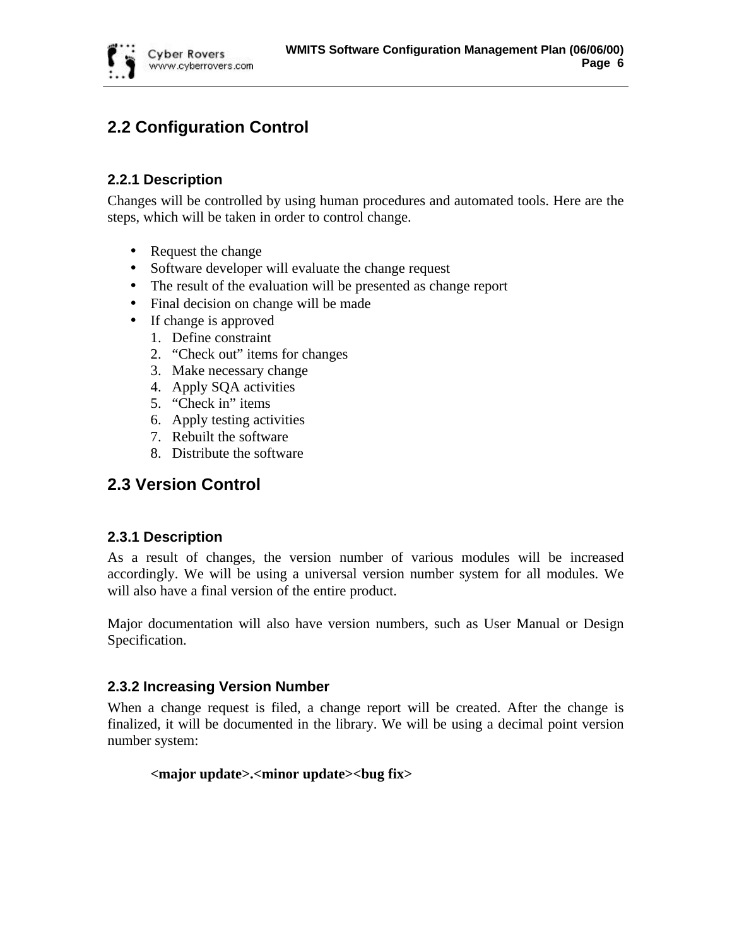

## **2.2 Configuration Control**

## **2.2.1 Description**

Changes will be controlled by using human procedures and automated tools. Here are the steps, which will be taken in order to control change.

- Request the change
- Software developer will evaluate the change request
- The result of the evaluation will be presented as change report
- Final decision on change will be made
- If change is approved
	- 1. Define constraint
	- 2. "Check out" items for changes
	- 3. Make necessary change
	- 4. Apply SQA activities
	- 5. "Check in" items
	- 6. Apply testing activities
	- 7. Rebuilt the software
	- 8. Distribute the software

## **2.3 Version Control**

## **2.3.1 Description**

As a result of changes, the version number of various modules will be increased accordingly. We will be using a universal version number system for all modules. We will also have a final version of the entire product.

Major documentation will also have version numbers, such as User Manual or Design Specification.

## **2.3.2 Increasing Version Number**

When a change request is filed, a change report will be created. After the change is finalized, it will be documented in the library. We will be using a decimal point version number system:

### **<major update>.<minor update><bug fix>**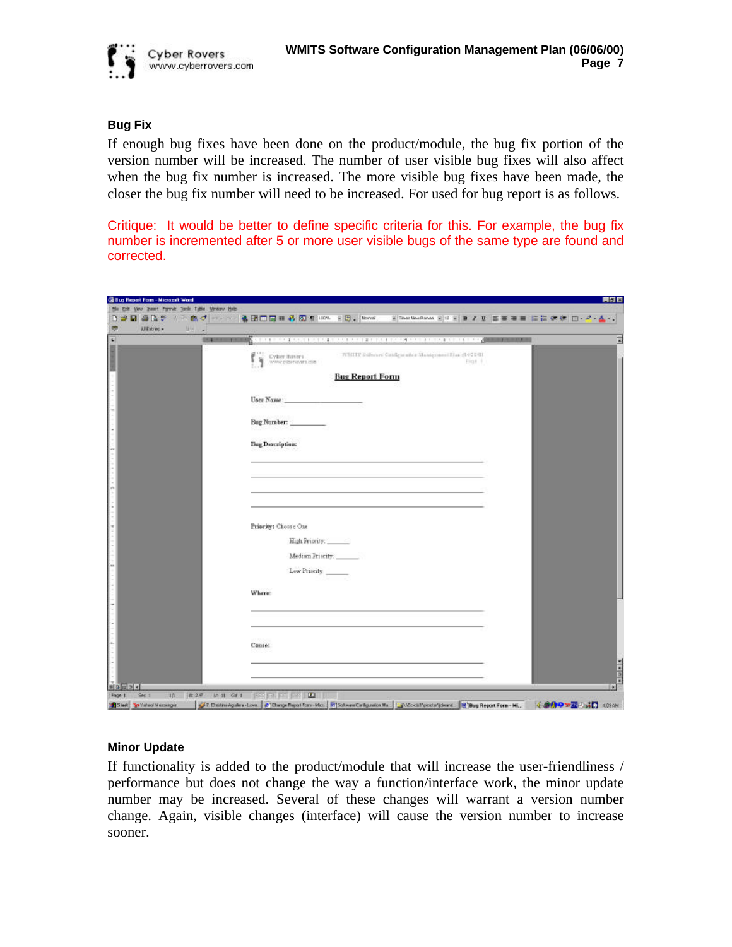

#### **Bug Fix**

If enough bug fixes have been done on the product/module, the bug fix portion of the version number will be increased. The number of user visible bug fixes will also affect when the bug fix number is increased. The more visible bug fixes have been made, the closer the bug fix number will need to be increased. For used for bug report is as follows.

Critique: It would be better to define specific criteria for this. For example, the bug fix number is incremented after 5 or more user visible bugs of the same type are found and corrected.

| All Entries +<br>$25.7 -$<br>$562 - 4 - 4 - 1$ | <b>S</b> di participato di provincia della chiama di posteriore di participato di participato di provincia di provincia |  |
|------------------------------------------------|-------------------------------------------------------------------------------------------------------------------------|--|
|                                                | WMITE Substant Candgurathe Maingeness Plan (1021/01)<br>Cyber flowers<br>Fig1.1<br>WANY DISSERVIES ISSN                 |  |
|                                                | <b>Bug Report Form</b>                                                                                                  |  |
|                                                | User Name:                                                                                                              |  |
|                                                | Bug Number:                                                                                                             |  |
|                                                | <b>Bug Description:</b>                                                                                                 |  |
|                                                |                                                                                                                         |  |
|                                                |                                                                                                                         |  |
|                                                |                                                                                                                         |  |
|                                                | Priority: Choose One                                                                                                    |  |
|                                                | High Priority:                                                                                                          |  |
|                                                | Medium Priority<br>Low Priority                                                                                         |  |
|                                                | Where:                                                                                                                  |  |
|                                                |                                                                                                                         |  |
|                                                |                                                                                                                         |  |
|                                                | Cause:                                                                                                                  |  |
|                                                |                                                                                                                         |  |

#### **Minor Update**

If functionality is added to the product/module that will increase the user-friendliness / performance but does not change the way a function/interface work, the minor update number may be increased. Several of these changes will warrant a version number change. Again, visible changes (interface) will cause the version number to increase sooner.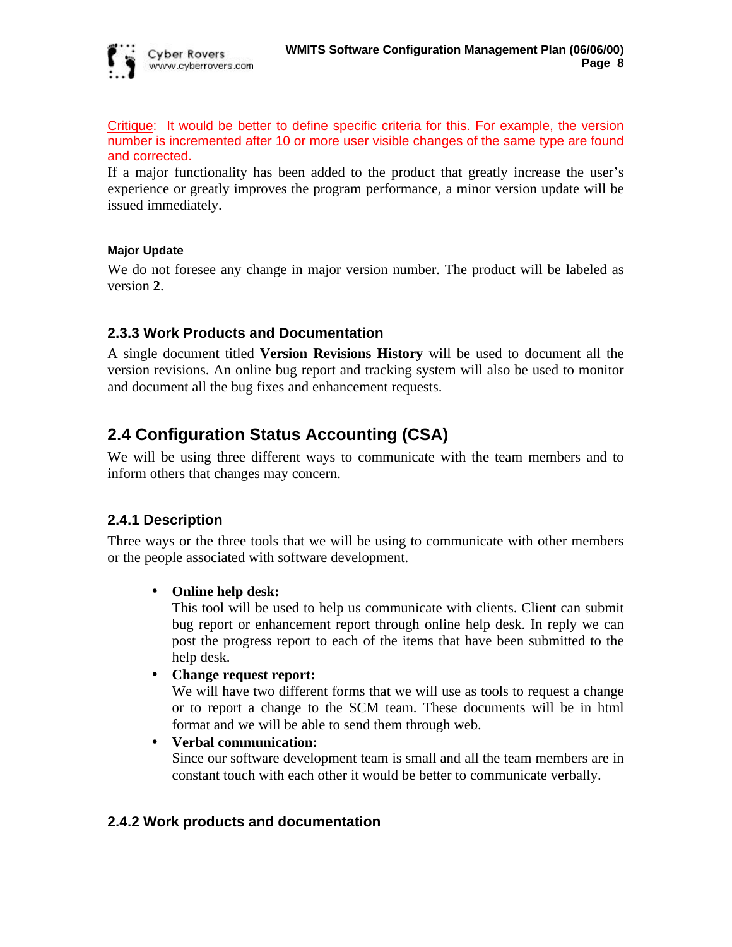Critique: It would be better to define specific criteria for this. For example, the version number is incremented after 10 or more user visible changes of the same type are found and corrected.

If a major functionality has been added to the product that greatly increase the user's experience or greatly improves the program performance, a minor version update will be issued immediately.

### **Major Update**

We do not foresee any change in major version number. The product will be labeled as version **2**.

## **2.3.3 Work Products and Documentation**

A single document titled **Version Revisions History** will be used to document all the version revisions. An online bug report and tracking system will also be used to monitor and document all the bug fixes and enhancement requests.

## **2.4 Configuration Status Accounting (CSA)**

We will be using three different ways to communicate with the team members and to inform others that changes may concern.

## **2.4.1 Description**

Three ways or the three tools that we will be using to communicate with other members or the people associated with software development.

## • **Online help desk:**

This tool will be used to help us communicate with clients. Client can submit bug report or enhancement report through online help desk. In reply we can post the progress report to each of the items that have been submitted to the help desk.

## • **Change request report:**

We will have two different forms that we will use as tools to request a change or to report a change to the SCM team. These documents will be in html format and we will be able to send them through web.

### • **Verbal communication:**

Since our software development team is small and all the team members are in constant touch with each other it would be better to communicate verbally.

## **2.4.2 Work products and documentation**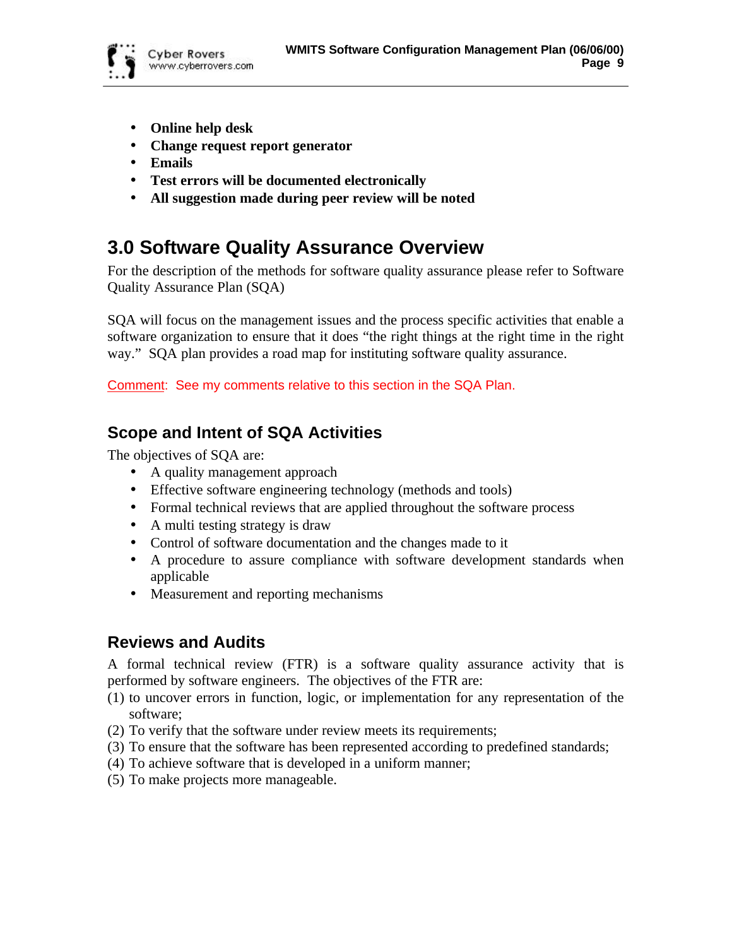

- **Online help desk**
- **Change request report generator**
- **Emails**
- **Test errors will be documented electronically**
- **All suggestion made during peer review will be noted**

## **3.0 Software Quality Assurance Overview**

For the description of the methods for software quality assurance please refer to Software Quality Assurance Plan (SQA)

SQA will focus on the management issues and the process specific activities that enable a software organization to ensure that it does "the right things at the right time in the right way." SQA plan provides a road map for instituting software quality assurance.

Comment: See my comments relative to this section in the SQA Plan.

## **Scope and Intent of SQA Activities**

The objectives of SQA are:

- A quality management approach
- Effective software engineering technology (methods and tools)
- Formal technical reviews that are applied throughout the software process
- A multi testing strategy is draw
- Control of software documentation and the changes made to it
- A procedure to assure compliance with software development standards when applicable
- Measurement and reporting mechanisms

## **Reviews and Audits**

A formal technical review (FTR) is a software quality assurance activity that is performed by software engineers. The objectives of the FTR are:

- (1) to uncover errors in function, logic, or implementation for any representation of the software;
- (2) To verify that the software under review meets its requirements;
- (3) To ensure that the software has been represented according to predefined standards;
- (4) To achieve software that is developed in a uniform manner;
- (5) To make projects more manageable.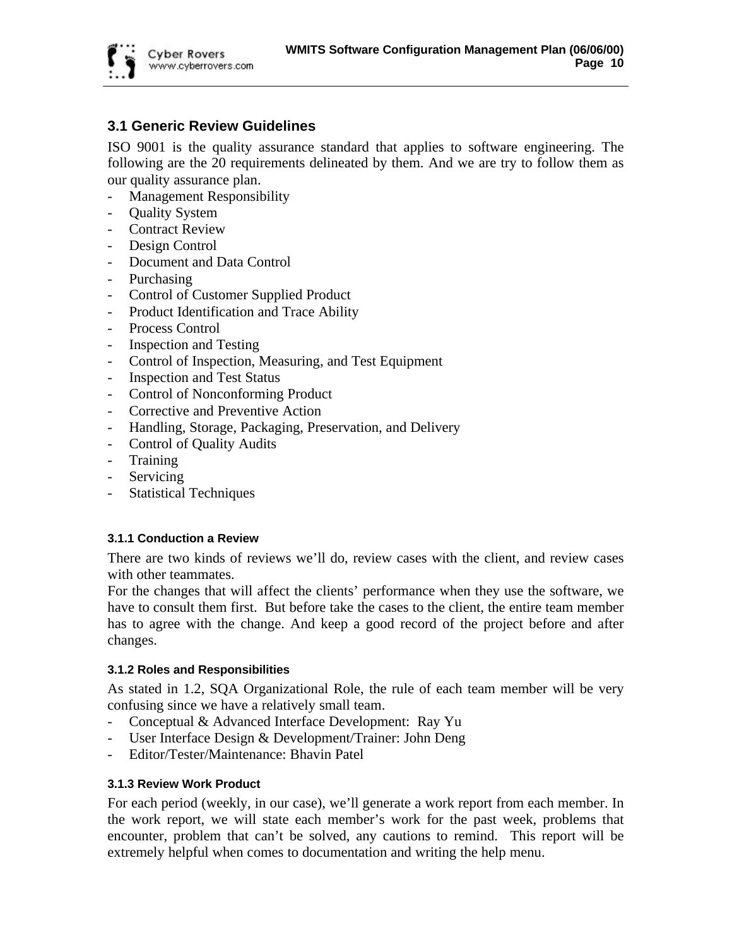

## **3.1 Generic Review Guidelines**

ISO 9001 is the quality assurance standard that applies to software engineering. The following are the 20 requirements delineated by them. And we are try to follow them as our quality assurance plan.

- Management Responsibility
- **Ouality System**
- Contract Review
- Design Control
- Document and Data Control
- Purchasing
- Control of Customer Supplied Product
- Product Identification and Trace Ability
- Process Control
- Inspection and Testing
- Control of Inspection, Measuring, and Test Equipment
- **Inspection and Test Status**
- Control of Nonconforming Product
- Corrective and Preventive Action
- Handling, Storage, Packaging, Preservation, and Delivery
- Control of Quality Audits
- Training
- **Servicing**
- Statistical Techniques

#### **3.1.1 Conduction a Review**

There are two kinds of reviews we'll do, review cases with the client, and review cases with other teammates.

For the changes that will affect the clients' performance when they use the software, we have to consult them first. But before take the cases to the client, the entire team member has to agree with the change. And keep a good record of the project before and after changes.

#### **3.1.2 Roles and Responsibilities**

As stated in 1.2, SQA Organizational Role, the rule of each team member will be very confusing since we have a relatively small team.

- Conceptual & Advanced Interface Development: Ray Yu
- User Interface Design & Development/Trainer: John Deng
- Editor/Tester/Maintenance: Bhavin Patel

### **3.1.3 Review Work Product**

For each period (weekly, in our case), we'll generate a work report from each member. In the work report, we will state each member's work for the past week, problems that encounter, problem that can't be solved, any cautions to remind. This report will be extremely helpful when comes to documentation and writing the help menu.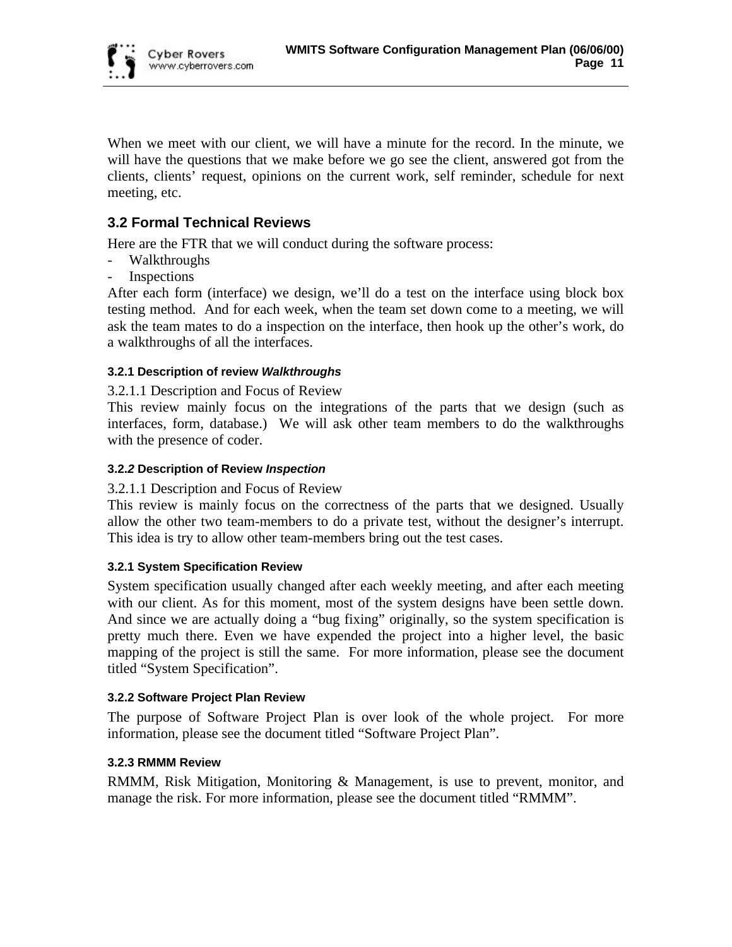

When we meet with our client, we will have a minute for the record. In the minute, we will have the questions that we make before we go see the client, answered got from the clients, clients' request, opinions on the current work, self reminder, schedule for next meeting, etc.

## **3.2 Formal Technical Reviews**

Here are the FTR that we will conduct during the software process:

- Walkthroughs
- **Inspections**

After each form (interface) we design, we'll do a test on the interface using block box testing method. And for each week, when the team set down come to a meeting, we will ask the team mates to do a inspection on the interface, then hook up the other's work, do a walkthroughs of all the interfaces.

### **3.2.1 Description of review** *Walkthroughs*

#### 3.2.1.1 Description and Focus of Review

This review mainly focus on the integrations of the parts that we design (such as interfaces, form, database.) We will ask other team members to do the walkthroughs with the presence of coder.

#### **3.2.***2* **Description of Review** *Inspection*

#### 3.2.1.1 Description and Focus of Review

This review is mainly focus on the correctness of the parts that we designed. Usually allow the other two team-members to do a private test, without the designer's interrupt. This idea is try to allow other team-members bring out the test cases.

#### **3.2.1 System Specification Review**

System specification usually changed after each weekly meeting, and after each meeting with our client. As for this moment, most of the system designs have been settle down. And since we are actually doing a "bug fixing" originally, so the system specification is pretty much there. Even we have expended the project into a higher level, the basic mapping of the project is still the same. For more information, please see the document titled "System Specification".

#### **3.2.2 Software Project Plan Review**

The purpose of Software Project Plan is over look of the whole project. For more information, please see the document titled "Software Project Plan".

#### **3.2.3 RMMM Review**

RMMM, Risk Mitigation, Monitoring & Management, is use to prevent, monitor, and manage the risk. For more information, please see the document titled "RMMM".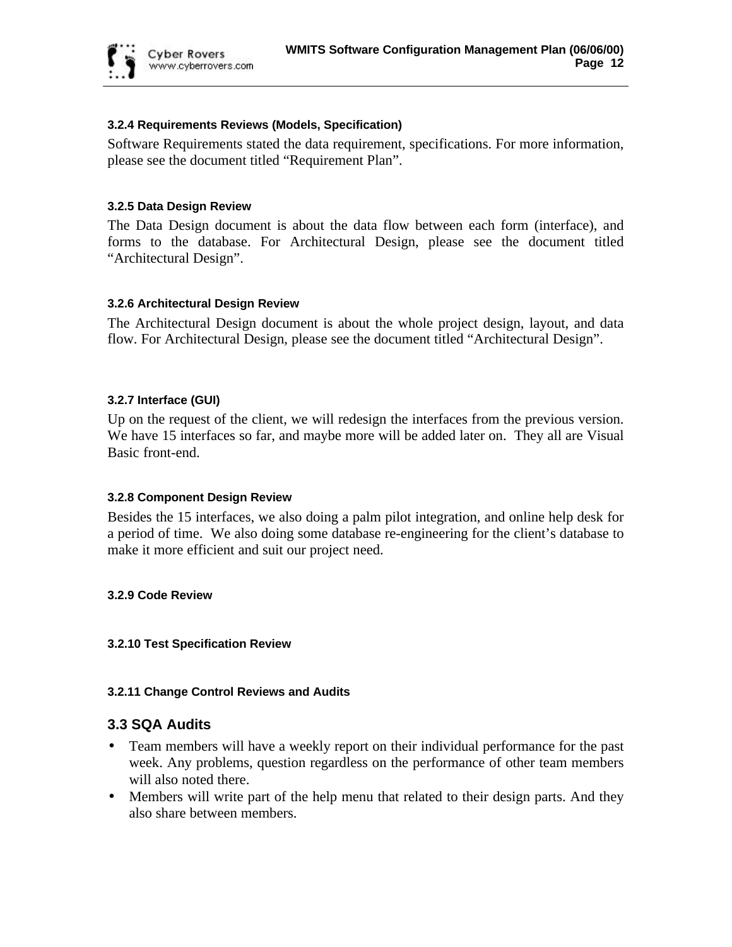

#### **3.2.4 Requirements Reviews (Models, Specification)**

Software Requirements stated the data requirement, specifications. For more information, please see the document titled "Requirement Plan".

#### **3.2.5 Data Design Review**

The Data Design document is about the data flow between each form (interface), and forms to the database. For Architectural Design, please see the document titled "Architectural Design".

#### **3.2.6 Architectural Design Review**

The Architectural Design document is about the whole project design, layout, and data flow. For Architectural Design, please see the document titled "Architectural Design".

#### **3.2.7 Interface (GUI)**

Up on the request of the client, we will redesign the interfaces from the previous version. We have 15 interfaces so far, and maybe more will be added later on. They all are Visual Basic front-end.

#### **3.2.8 Component Design Review**

Besides the 15 interfaces, we also doing a palm pilot integration, and online help desk for a period of time. We also doing some database re-engineering for the client's database to make it more efficient and suit our project need.

#### **3.2.9 Code Review**

#### **3.2.10 Test Specification Review**

#### **3.2.11 Change Control Reviews and Audits**

### **3.3 SQA Audits**

- Team members will have a weekly report on their individual performance for the past week. Any problems, question regardless on the performance of other team members will also noted there.
- Members will write part of the help menu that related to their design parts. And they also share between members.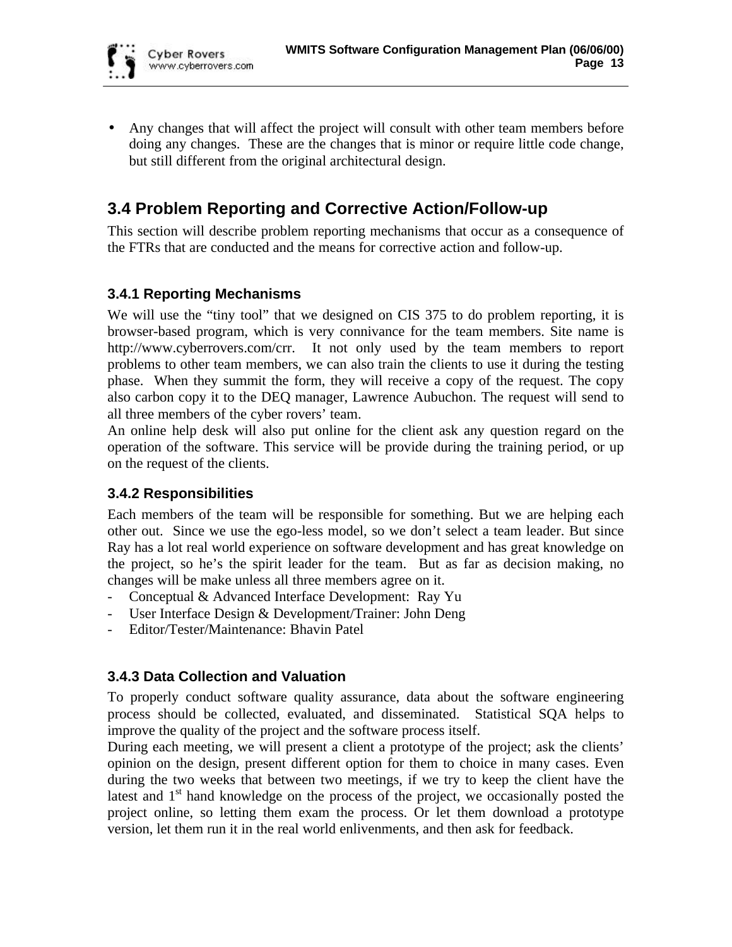• Any changes that will affect the project will consult with other team members before doing any changes. These are the changes that is minor or require little code change, but still different from the original architectural design.

## **3.4 Problem Reporting and Corrective Action/Follow-up**

This section will describe problem reporting mechanisms that occur as a consequence of the FTRs that are conducted and the means for corrective action and follow-up.

## **3.4.1 Reporting Mechanisms**

We will use the "tiny tool" that we designed on CIS 375 to do problem reporting, it is browser-based program, which is very connivance for the team members. Site name is http://www.cyberrovers.com/crr. It not only used by the team members to report problems to other team members, we can also train the clients to use it during the testing phase. When they summit the form, they will receive a copy of the request. The copy also carbon copy it to the DEQ manager, Lawrence Aubuchon. The request will send to all three members of the cyber rovers' team.

An online help desk will also put online for the client ask any question regard on the operation of the software. This service will be provide during the training period, or up on the request of the clients.

## **3.4.2 Responsibilities**

Each members of the team will be responsible for something. But we are helping each other out. Since we use the ego-less model, so we don't select a team leader. But since Ray has a lot real world experience on software development and has great knowledge on the project, so he's the spirit leader for the team. But as far as decision making, no changes will be make unless all three members agree on it.

- Conceptual & Advanced Interface Development: Ray Yu
- User Interface Design & Development/Trainer: John Deng
- Editor/Tester/Maintenance: Bhavin Patel

## **3.4.3 Data Collection and Valuation**

To properly conduct software quality assurance, data about the software engineering process should be collected, evaluated, and disseminated. Statistical SQA helps to improve the quality of the project and the software process itself.

During each meeting, we will present a client a prototype of the project; ask the clients' opinion on the design, present different option for them to choice in many cases. Even during the two weeks that between two meetings, if we try to keep the client have the latest and  $1<sup>st</sup>$  hand knowledge on the process of the project, we occasionally posted the project online, so letting them exam the process. Or let them download a prototype version, let them run it in the real world enlivenments, and then ask for feedback.